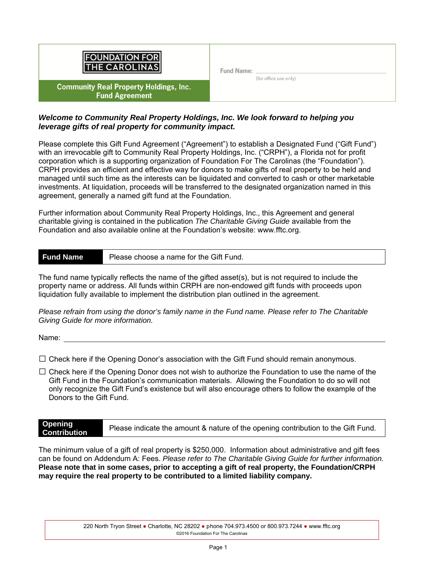

**Community Real Property Holdings, Inc. Fund Agreement** 

Fund Name: \_

(for office use only)

### *Welcome to Community Real Property Holdings, Inc. We look forward to helping you leverage gifts of real property for community impact.*

Please complete this Gift Fund Agreement ("Agreement") to establish a Designated Fund ("Gift Fund") with an irrevocable gift to Community Real Property Holdings, Inc. ("CRPH"), a Florida not for profit corporation which is a supporting organization of Foundation For The Carolinas (the "Foundation"). CRPH provides an efficient and effective way for donors to make gifts of real property to be held and managed until such time as the interests can be liquidated and converted to cash or other marketable investments. At liquidation, proceeds will be transferred to the designated organization named in this agreement, generally a named gift fund at the Foundation.

Further information about Community Real Property Holdings, Inc., this Agreement and general charitable giving is contained in the publication *The Charitable Giving Guide* available from the Foundation and also available online at the Foundation's website: www.fftc.org.

# **Fund Name** Please choose a name for the Gift Fund.

The fund name typically reflects the name of the gifted asset(s), but is not required to include the property name or address. All funds within CRPH are non-endowed gift funds with proceeds upon liquidation fully available to implement the distribution plan outlined in the agreement.

*Please refrain from using the donor's family name in the Fund name. Please refer to The Charitable Giving Guide for more information.* 

Name:

 $\square$  Check here if the Opening Donor's association with the Gift Fund should remain anonymous.

 $\square$  Check here if the Opening Donor does not wish to authorize the Foundation to use the name of the Gift Fund in the Foundation's communication materials. Allowing the Foundation to do so will not only recognize the Gift Fund's existence but will also encourage others to follow the example of the Donors to the Gift Fund.

**Opening Contribution** Please indicate the amount & nature of the opening contribution to the Gift Fund.

The minimum value of a gift of real property is \$250,000. Information about administrative and gift fees can be found on Addendum A: Fees. *Please refer to The Charitable Giving Guide for further information.*  **Please note that in some cases, prior to accepting a gift of real property, the Foundation/CRPH may require the real property to be contributed to a limited liability company.**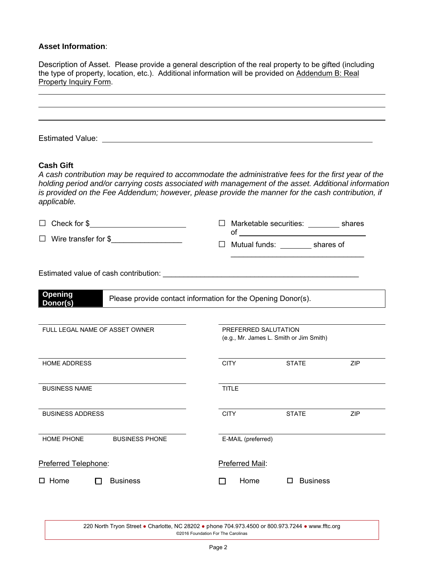### **Asset Information**:

Description of Asset. Please provide a general description of the real property to be gifted (including the type of property, location, etc.). Additional information will be provided on Addendum B: Real Property Inquiry Form.

| <b>Cash Gift</b><br>applicable.                        | A cash contribution may be required to accommodate the administrative fees for the first year of the<br>holding period and/or carrying costs associated with management of the asset. Additional information<br>is provided on the Fee Addendum; however, please provide the manner for the cash contribution, if |
|--------------------------------------------------------|-------------------------------------------------------------------------------------------------------------------------------------------------------------------------------------------------------------------------------------------------------------------------------------------------------------------|
| $\Box$ Check for $\frac{1}{2}$ Check for $\frac{1}{2}$ | Marketable securities: _________ shares                                                                                                                                                                                                                                                                           |
| □ Wire transfer for \$______________________           | Mutual funds: ___________ shares of                                                                                                                                                                                                                                                                               |
| <b>Opening</b><br>Donor(s)                             | Please provide contact information for the Opening Donor(s).                                                                                                                                                                                                                                                      |
| FULL LEGAL NAME OF ASSET OWNER                         | PREFERRED SALUTATION<br>(e.g., Mr. James L. Smith or Jim Smith)                                                                                                                                                                                                                                                   |
| <b>HOME ADDRESS</b>                                    | <b>CITY</b><br><b>STATE</b><br><b>ZIP</b>                                                                                                                                                                                                                                                                         |
| <b>BUSINESS NAME</b>                                   | <b>TITLE</b>                                                                                                                                                                                                                                                                                                      |
| <b>BUSINESS ADDRESS</b>                                | <b>CITY</b><br><b>STATE</b><br>ZIP                                                                                                                                                                                                                                                                                |
| HOME PHONE<br><b>BUSINESS PHONE</b>                    | E-MAIL (preferred)                                                                                                                                                                                                                                                                                                |
| Preferred Telephone:                                   | Preferred Mail:                                                                                                                                                                                                                                                                                                   |
| <b>Business</b><br>$\square$ Home                      | Home<br><b>Business</b><br>ப                                                                                                                                                                                                                                                                                      |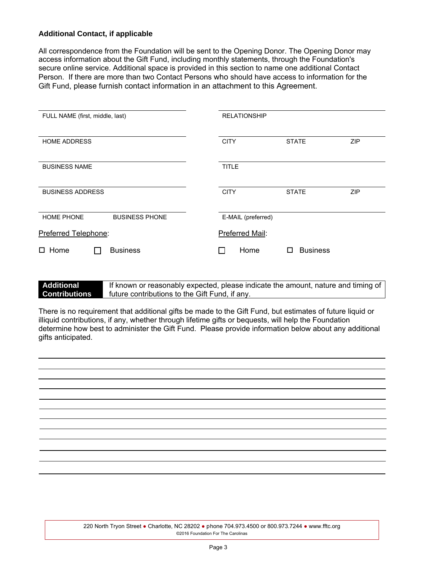### **Additional Contact, if applicable**

All correspondence from the Foundation will be sent to the Opening Donor. The Opening Donor may access information about the Gift Fund, including monthly statements, through the Foundation's secure online service. Additional space is provided in this section to name one additional Contact Person. If there are more than two Contact Persons who should have access to information for the Gift Fund, please furnish contact information in an attachment to this Agreement.

| FULL NAME (first, middle, last)            | <b>RELATIONSHIP</b>                       |
|--------------------------------------------|-------------------------------------------|
| <b>HOME ADDRESS</b>                        | <b>ZIP</b><br><b>CITY</b><br><b>STATE</b> |
| <b>BUSINESS NAME</b>                       | <b>TITLE</b>                              |
| <b>BUSINESS ADDRESS</b>                    | <b>CITY</b><br><b>STATE</b><br>ZIP        |
| <b>HOME PHONE</b><br><b>BUSINESS PHONE</b> | E-MAIL (preferred)                        |
| Preferred Telephone:                       | Preferred Mail:                           |
| $\square$ Home<br><b>Business</b>          | <b>Business</b><br>Home<br>ΙI             |

| <b>Additional</b>    | If known or reasonably expected, please indicate the amount, nature and timing of |
|----------------------|-----------------------------------------------------------------------------------|
| <b>Contributions</b> | future contributions to the Gift Fund, if any.                                    |

There is no requirement that additional gifts be made to the Gift Fund, but estimates of future liquid or illiquid contributions, if any, whether through lifetime gifts or bequests, will help the Foundation determine how best to administer the Gift Fund. Please provide information below about any additional gifts anticipated.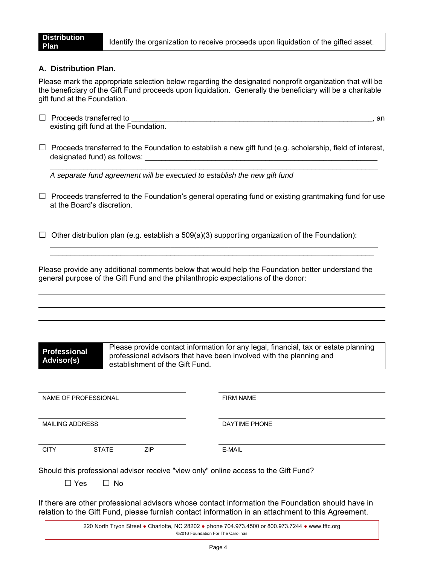### **A. Distribution Plan.**

Please mark the appropriate selection below regarding the designated nonprofit organization that will be the beneficiary of the Gift Fund proceeds upon liquidation. Generally the beneficiary will be a charitable gift fund at the Foundation.

- $\Box$  Proceeds transferred to  $\Box$ existing gift fund at the Foundation.
- $\Box$  Proceeds transferred to the Foundation to establish a new gift fund (e.g. scholarship, field of interest, designated fund) as follows:

\_\_\_\_\_\_\_\_\_\_\_\_\_\_\_\_\_\_\_\_\_\_\_\_\_\_\_\_\_\_\_\_\_\_\_\_\_\_\_\_\_\_\_\_\_\_\_\_\_\_\_\_\_\_\_\_\_\_\_\_\_\_\_\_\_\_\_\_\_\_\_\_\_\_\_\_\_\_\_

*A separate fund agreement will be executed to establish the new gift fund*

 $\Box$  Proceeds transferred to the Foundation's general operating fund or existing grantmaking fund for use at the Board's discretion.

\_\_\_\_\_\_\_\_\_\_\_\_\_\_\_\_\_\_\_\_\_\_\_\_\_\_\_\_\_\_\_\_\_\_\_\_\_\_\_\_\_\_\_\_\_\_\_\_\_\_\_\_\_\_\_\_\_\_\_\_\_\_\_\_\_\_\_\_\_\_\_\_\_\_\_\_\_\_\_ \_\_\_\_\_\_\_\_\_\_\_\_\_\_\_\_\_\_\_\_\_\_\_\_\_\_\_\_\_\_\_\_\_\_\_\_\_\_\_\_\_\_\_\_\_\_\_\_\_\_\_\_\_\_\_\_\_\_\_\_\_\_\_\_\_\_\_\_\_\_\_\_\_\_\_\_\_\_

 $\Box$  Other distribution plan (e.g. establish a 509(a)(3) supporting organization of the Foundation):

Please provide any additional comments below that would help the Foundation better understand the general purpose of the Gift Fund and the philanthropic expectations of the donor:

| <b>Professional</b><br>Advisor(s) | Please provide contact information for any legal, financial, tax or estate planning<br>professional advisors that have been involved with the planning and<br>establishment of the Gift Fund. |                  |
|-----------------------------------|-----------------------------------------------------------------------------------------------------------------------------------------------------------------------------------------------|------------------|
|                                   |                                                                                                                                                                                               |                  |
| NAME OF PROFESSIONAL              |                                                                                                                                                                                               | <b>FIRM NAME</b> |
| <b>MAILING ADDRESS</b>            |                                                                                                                                                                                               | DAYTIME PHONE    |
| <b>CITY</b>                       | <b>ZIP</b><br><b>STATE</b>                                                                                                                                                                    | E-MAIL           |
| Yes                               | Should this professional advisor receive "view only" online access to the Gift Fund?<br>$\Box$ No                                                                                             |                  |
|                                   |                                                                                                                                                                                               |                  |

If there are other professional advisors whose contact information the Foundation should have in relation to the Gift Fund, please furnish contact information in an attachment to this Agreement.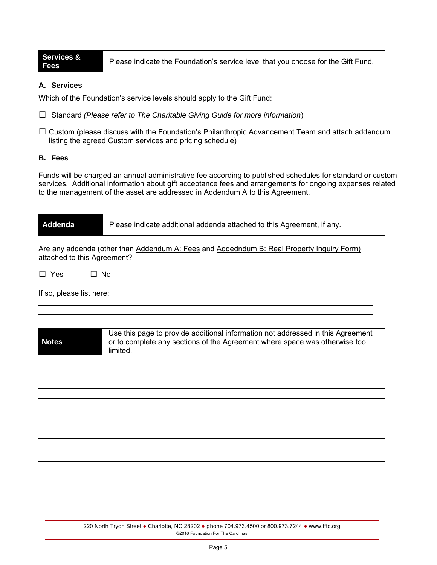**Services &** 

**Fees** Please indicate the Foundation's service level that you choose for the Gift Fund.

### **A. Services**

Which of the Foundation's service levels should apply to the Gift Fund:

- □ Standard *(Please refer to The Charitable Giving Guide for more information*)
- $\square$  Custom (please discuss with the Foundation's Philanthropic Advancement Team and attach addendum listing the agreed Custom services and pricing schedule)

### **B. Fees**

Funds will be charged an annual administrative fee according to published schedules for standard or custom services. Additional information about gift acceptance fees and arrangements for ongoing expenses related to the management of the asset are addressed in Addendum A to this Agreement.

| Addenda                     | Please indicate additional addenda attached to this Agreement, if any.                                                                                                    |
|-----------------------------|---------------------------------------------------------------------------------------------------------------------------------------------------------------------------|
| attached to this Agreement? | Are any addenda (other than Addendum A: Fees and Addedndum B: Real Property Inquiry Form)                                                                                 |
| $\Box$ No<br>$\Box$ Yes     |                                                                                                                                                                           |
|                             |                                                                                                                                                                           |
|                             |                                                                                                                                                                           |
| <b>Notes</b>                | Use this page to provide additional information not addressed in this Agreement<br>or to complete any sections of the Agreement where space was otherwise too<br>limited. |
|                             |                                                                                                                                                                           |
|                             |                                                                                                                                                                           |
|                             |                                                                                                                                                                           |
|                             |                                                                                                                                                                           |
|                             |                                                                                                                                                                           |
|                             |                                                                                                                                                                           |
|                             |                                                                                                                                                                           |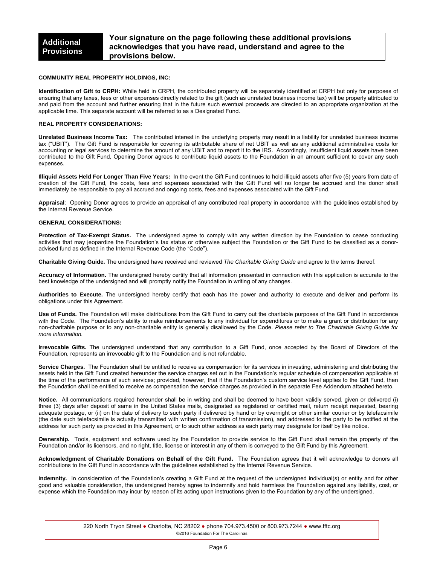#### **COMMUNITY REAL PROPERTY HOLDINGS, INC:**

**Identification of Gift to CRPH:** While held in CRPH, the contributed property will be separately identified at CRPH but only for purposes of ensuring that any taxes, fees or other expenses directly related to the gift (such as unrelated business income tax) will be properly attributed to and paid from the account and further ensuring that in the future such eventual proceeds are directed to an appropriate organization at the applicable time. This separate account will be referred to as a Designated Fund.

#### **REAL PROPERTY CONSIDERATIONS:**

**Unrelated Business Income Tax:** The contributed interest in the underlying property may result in a liability for unrelated business income tax ("UBIT"). The Gift Fund is responsible for covering its attributable share of net UBIT as well as any additional administrative costs for accounting or legal services to determine the amount of any UBIT and to report it to the IRS. Accordingly, insufficient liquid assets have been contributed to the Gift Fund, Opening Donor agrees to contribute liquid assets to the Foundation in an amount sufficient to cover any such expenses.

**Illiquid Assets Held For Longer Than Five Years:** In the event the Gift Fund continues to hold illiquid assets after five (5) years from date of creation of the Gift Fund, the costs, fees and expenses associated with the Gift Fund will no longer be accrued and the donor shall immediately be responsible to pay all accrued and ongoing costs, fees and expenses associated with the Gift Fund.

**Appraisal**: Opening Donor agrees to provide an appraisal of any contributed real property in accordance with the guidelines established by the Internal Revenue Service.

#### **GENERAL CONSIDERATIONS:**

**Protection of Tax-Exempt Status.** The undersigned agree to comply with any written direction by the Foundation to cease conducting activities that may jeopardize the Foundation's tax status or otherwise subject the Foundation or the Gift Fund to be classified as a donoradvised fund as defined in the Internal Revenue Code (the "Code").

**Charitable Giving Guide.** The undersigned have received and reviewed *The Charitable Giving Guide* and agree to the terms thereof.

**Accuracy of Information.** The undersigned hereby certify that all information presented in connection with this application is accurate to the best knowledge of the undersigned and will promptly notify the Foundation in writing of any changes.

**Authorities to Execute.** The undersigned hereby certify that each has the power and authority to execute and deliver and perform its obligations under this Agreement.

**Use of Funds.** The Foundation will make distributions from the Gift Fund to carry out the charitable purposes of the Gift Fund in accordance with the Code. The Foundation's ability to make reimbursements to any individual for expenditures or to make a grant or distribution for any non-charitable purpose or to any non-charitable entity is generally disallowed by the Code. *Please refer to The Charitable Giving Guide for more information.* 

**Irrevocable Gifts.** The undersigned understand that any contribution to a Gift Fund, once accepted by the Board of Directors of the Foundation, represents an irrevocable gift to the Foundation and is not refundable.

**Service Charges.** The Foundation shall be entitled to receive as compensation for its services in investing, administering and distributing the assets held in the Gift Fund created hereunder the service charges set out in the Foundation's regular schedule of compensation applicable at the time of the performance of such services; provided, however, that if the Foundation's custom service level applies to the Gift Fund, then the Foundation shall be entitled to receive as compensation the service charges as provided in the separate Fee Addendum attached hereto.

**Notice.** All communications required hereunder shall be in writing and shall be deemed to have been validly served, given or delivered (i) three (3) days after deposit of same in the United States mails, designated as registered or certified mail, return receipt requested, bearing adequate postage, or (ii) on the date of delivery to such party if delivered by hand or by overnight or other similar courier or by telefacsimile (the date such telefacsimile is actually transmitted with written confirmation of transmission), and addressed to the party to be notified at the address for such party as provided in this Agreement, or to such other address as each party may designate for itself by like notice.

**Ownership.** Tools, equipment and software used by the Foundation to provide service to the Gift Fund shall remain the property of the Foundation and/or its licensors, and no right, title, license or interest in any of them is conveyed to the Gift Fund by this Agreement.

**Acknowledgment of Charitable Donations on Behalf of the Gift Fund.** The Foundation agrees that it will acknowledge to donors all contributions to the Gift Fund in accordance with the guidelines established by the Internal Revenue Service.

**Indemnity.** In consideration of the Foundation's creating a Gift Fund at the request of the undersigned individual(s) or entity and for other good and valuable consideration, the undersigned hereby agree to indemnify and hold harmless the Foundation against any liability, cost, or expense which the Foundation may incur by reason of its acting upon instructions given to the Foundation by any of the undersigned.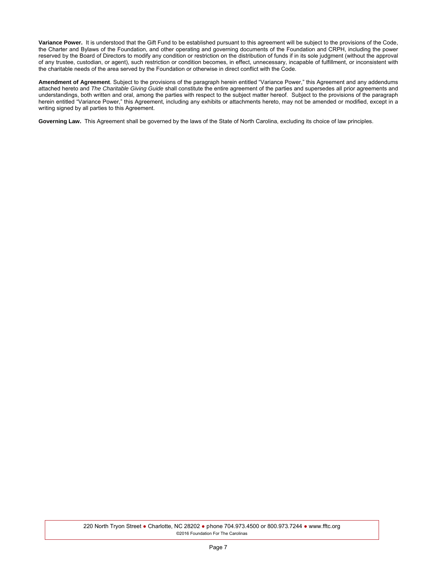**Variance Power.** It is understood that the Gift Fund to be established pursuant to this agreement will be subject to the provisions of the Code, the Charter and Bylaws of the Foundation, and other operating and governing documents of the Foundation and CRPH, including the power reserved by the Board of Directors to modify any condition or restriction on the distribution of funds if in its sole judgment (without the approval of any trustee, custodian, or agent), such restriction or condition becomes, in effect, unnecessary, incapable of fulfillment, or inconsistent with the charitable needs of the area served by the Foundation or otherwise in direct conflict with the Code.

**Amendment of Agreement**. Subject to the provisions of the paragraph herein entitled "Variance Power," this Agreement and any addendums attached hereto and *The Charitable Giving Guide* shall constitute the entire agreement of the parties and supersedes all prior agreements and understandings, both written and oral, among the parties with respect to the subject matter hereof. Subject to the provisions of the paragraph herein entitled "Variance Power," this Agreement, including any exhibits or attachments hereto, may not be amended or modified, except in a writing signed by all parties to this Agreement.

**Governing Law.** This Agreement shall be governed by the laws of the State of North Carolina, excluding its choice of law principles.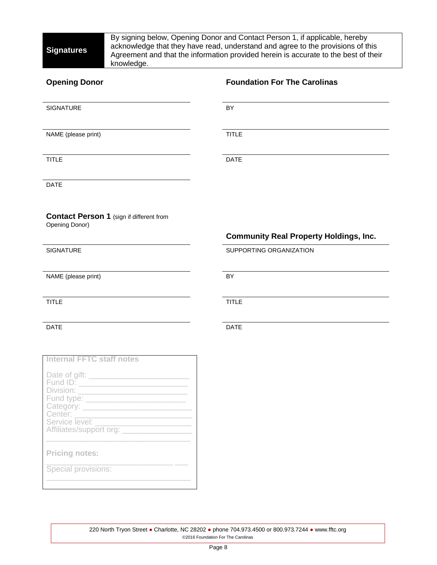Fund type: \_\_\_\_\_\_\_\_\_\_\_\_\_\_\_\_\_\_\_\_\_\_\_

\_\_\_\_\_\_\_\_\_\_\_\_\_\_\_\_\_\_\_\_\_\_\_\_\_\_\_\_\_\_\_\_\_

Category: \_ Center:

Service level: \_

**Pricing notes:** 

Special provisions:

Affiliates/support org: \_

By signing below, Opening Donor and Contact Person 1, if applicable, hereby acknowledge that they have read, understand and agree to the provisions of this Agreement and that the information provided herein is accurate to the best of their knowledge.

| <b>Opening Donor</b>                                              | <b>Foundation For The Carolinas</b>           |
|-------------------------------------------------------------------|-----------------------------------------------|
| SIGNATURE                                                         | BY                                            |
| NAME (please print)                                               | <b>TITLE</b>                                  |
| <b>TITLE</b>                                                      | <b>DATE</b>                                   |
| <b>DATE</b>                                                       |                                               |
| <b>Contact Person 1 (sign if different from</b><br>Opening Donor) | <b>Community Real Property Holdings, Inc.</b> |
| <b>SIGNATURE</b>                                                  | SUPPORTING ORGANIZATION                       |
| NAME (please print)                                               | <b>BY</b>                                     |
| <b>TITLE</b>                                                      | <b>TITLE</b>                                  |
| <b>DATE</b>                                                       | <b>DATE</b>                                   |
|                                                                   |                                               |
| <b>Internal FFTC staff notes</b>                                  |                                               |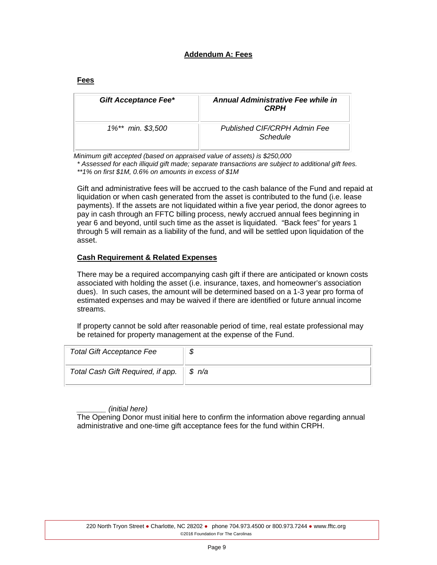### **Addendum A: Fees**

| <b>Gift Acceptance Fee*</b> | Annual Administrative Fee while in<br><b>CRPH</b> |
|-----------------------------|---------------------------------------------------|
| 1%** min. \$3,500           | Published CIF/CRPH Admin Fee<br>Schedule          |

 *Minimum gift accepted (based on appraised value of assets) is \$250,000*

*\* Assessed for each illiquid gift made; separate transactions are subject to additional gift fees. \*\*1% on first \$1M, 0.6% on amounts in excess of \$1M*

Gift and administrative fees will be accrued to the cash balance of the Fund and repaid at liquidation or when cash generated from the asset is contributed to the fund (i.e. lease payments). If the assets are not liquidated within a five year period, the donor agrees to pay in cash through an FFTC billing process, newly accrued annual fees beginning in year 6 and beyond, until such time as the asset is liquidated. "Back fees" for years 1 through 5 will remain as a liability of the fund, and will be settled upon liquidation of the asset.

### **Cash Requirement & Related Expenses**

There may be a required accompanying cash gift if there are anticipated or known costs associated with holding the asset (i.e. insurance, taxes, and homeowner's association dues). In such cases, the amount will be determined based on a 1-3 year pro forma of estimated expenses and may be waived if there are identified or future annual income streams.

If property cannot be sold after reasonable period of time, real estate professional may be retained for property management at the expense of the Fund.

| <b>Total Gift Acceptance Fee</b>  |                      |
|-----------------------------------|----------------------|
| Total Cash Gift Required, if app. | $\parallel$ \$ $n/a$ |

### *\_\_\_\_\_\_\_ (initial here)*

The Opening Donor must initial here to confirm the information above regarding annual administrative and one-time gift acceptance fees for the fund within CRPH.